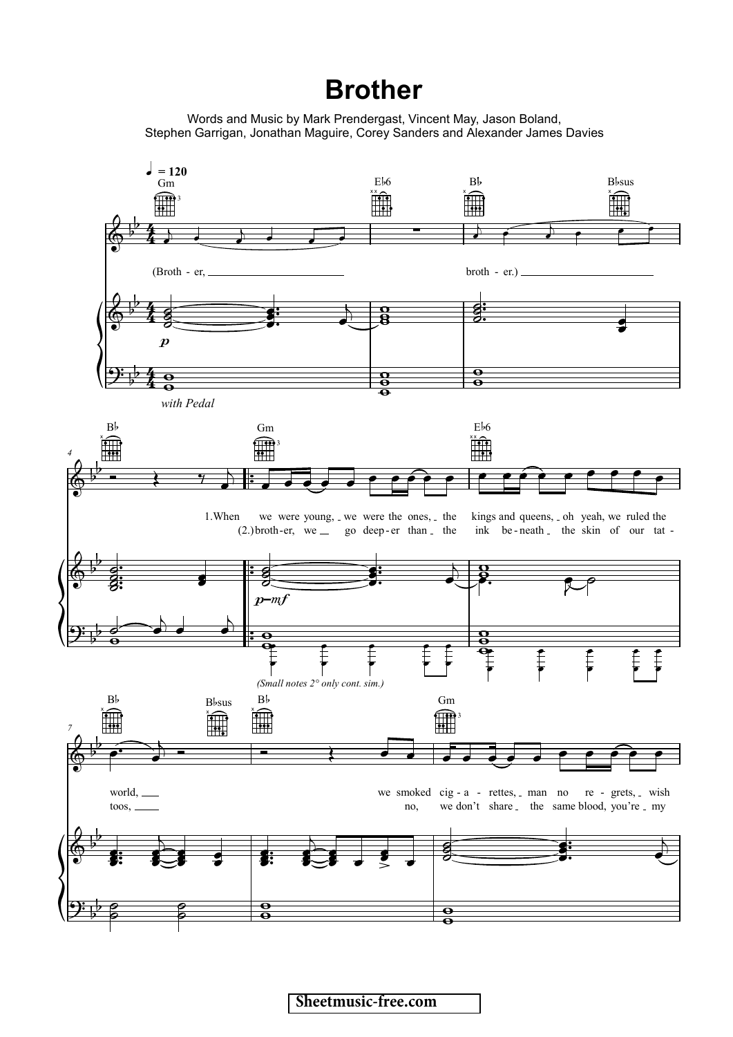## **Brother**

Words and Music by Mark Prendergast, Vincent May, Jason Boland, Stephen Garrigan, Jonathan Maguire, Corey Sanders and Alexander James Davies

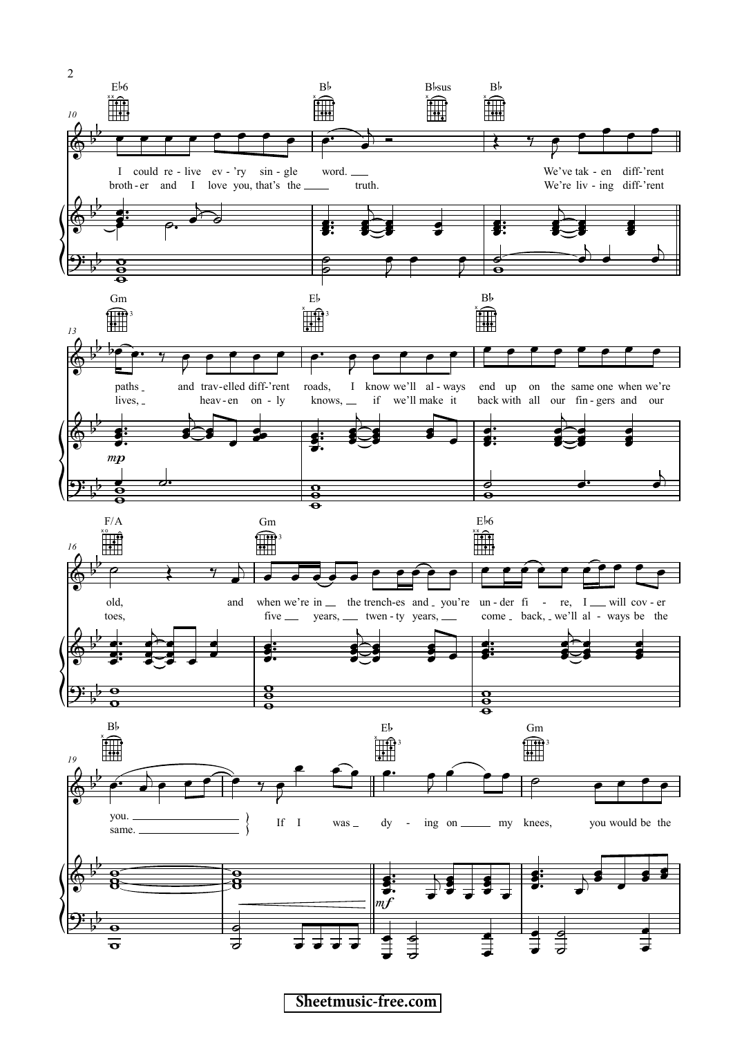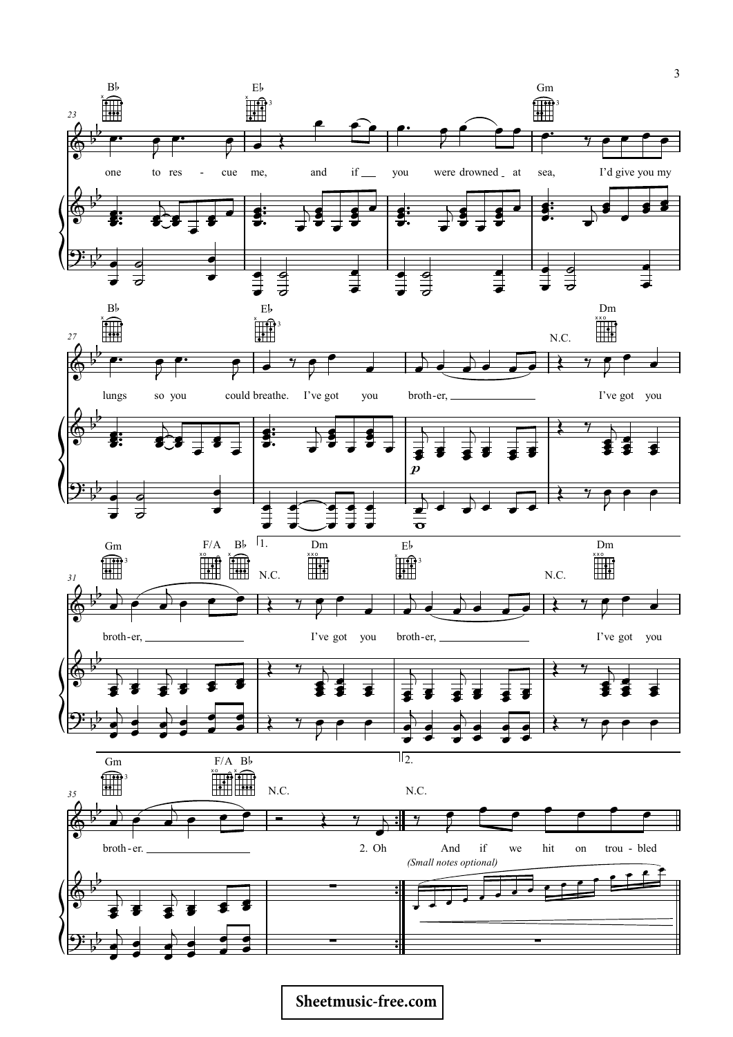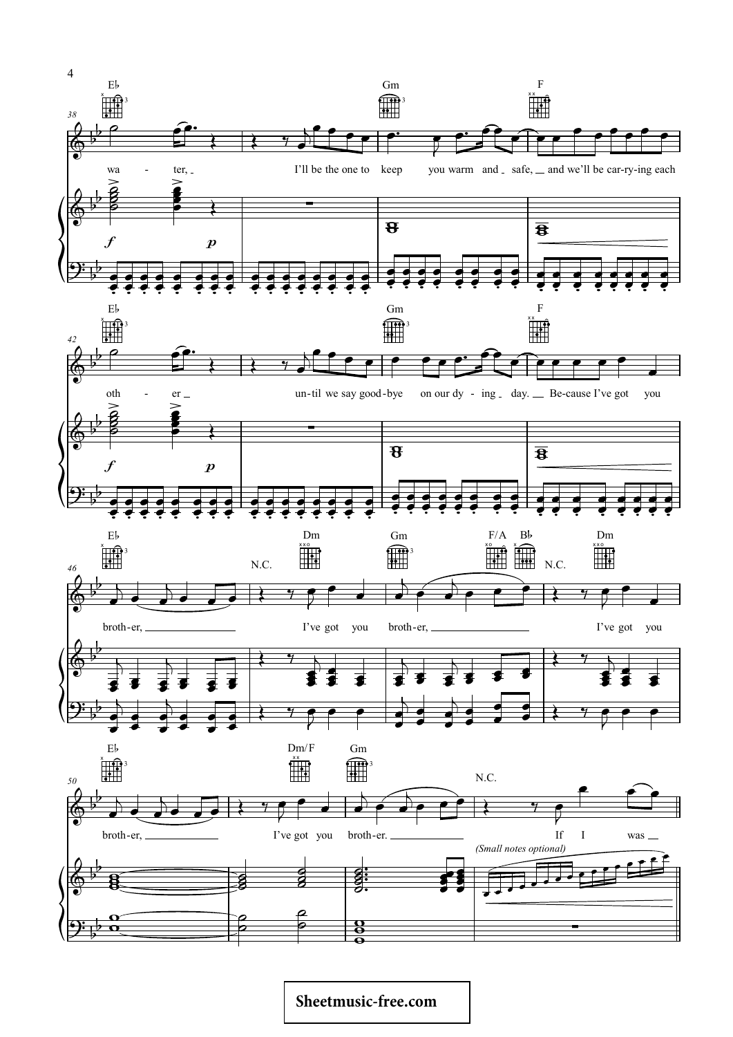